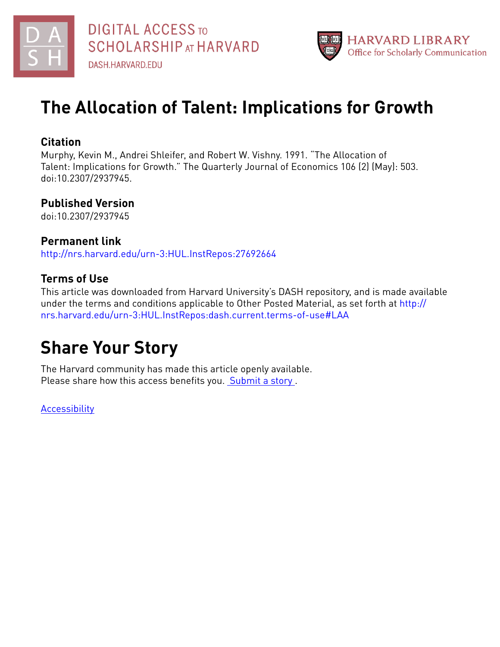



# **The Allocation of Talent: Implications for Growth**

# **Citation**

Murphy, Kevin M., Andrei Shleifer, and Robert W. Vishny. 1991. "The Allocation of Talent: Implications for Growth." The Quarterly Journal of Economics 106 (2) (May): 503. doi:10.2307/2937945.

# **Published Version**

doi:10.2307/2937945

# **Permanent link**

<http://nrs.harvard.edu/urn-3:HUL.InstRepos:27692664>

# **Terms of Use**

This article was downloaded from Harvard University's DASH repository, and is made available under the terms and conditions applicable to Other Posted Material, as set forth at [http://](http://nrs.harvard.edu/urn-3:HUL.InstRepos:dash.current.terms-of-use#LAA) [nrs.harvard.edu/urn-3:HUL.InstRepos:dash.current.terms-of-use#LAA](http://nrs.harvard.edu/urn-3:HUL.InstRepos:dash.current.terms-of-use#LAA)

# **Share Your Story**

The Harvard community has made this article openly available. Please share how this access benefits you. [Submit](http://osc.hul.harvard.edu/dash/open-access-feedback?handle=&title=The%20Allocation%20of%20Talent:%20Implications%20for%20Growth&community=1/1&collection=1/2&owningCollection1/2&harvardAuthors=923ed1487fa03196e72b54148ab27194&departmentEconomics) a story.

**[Accessibility](https://dash.harvard.edu/pages/accessibility)**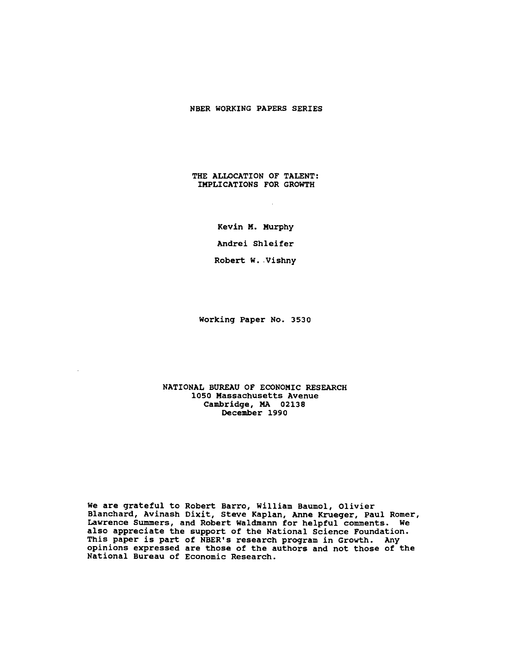#### NBER WORKING PAPERS SERIES

THE ALLOCATION OF TALENT: IMPLICATIONS FOR GROWTH

Kevin M. Murphy

 $\sim 10^{-1}$ 

Andrei Shleifer

Robert W. Vishny

Working Paper No. 3530

#### NATIONAL BUREAU OF ECONOMIC RESEARCH 1050 Massachusetts Avenue Cambridge, MA 02138 December 1990

We are grateful to Robert Barro, William Baumol, Olivier Blanchard, Avinash Dixit, Steve Kaplan, Anne Krueger, Paul Romer, Lawrence Summers, and Robert Waldmann for helpful comments. We also appreciate the support of the National Science Foundation.<br>This paper is part of NBER's research program in Growth. Any This paper is part of NBER's research program in Growth. Any opinions expressed are those of the authors and not those of the National Bureau of Economic Research.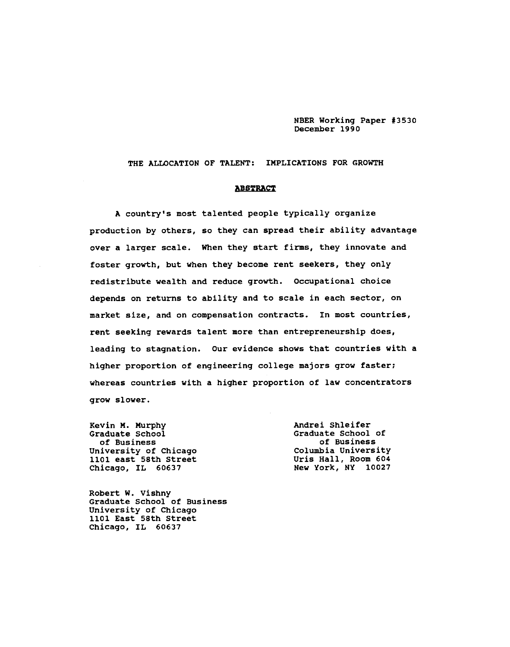NBER Working Paper #3530 December 1990

#### THE ALLOCATION OF TALENT: IMPLICATIONS FOR GROWTH

#### ABSTRACT

A country's most talented people typically organize production by others, so they can spread their ability advantage over a larger scale. When they start firms, they innovate and foster growth, but when they become rent seekers, they only redistribute wealth and reduce growth. Occupational choice depends on returns to ability and to scale in each sector, on market size, and on compensation contracts. In most countries, rent seeking rewards talent more than entrepreneurship does, leading to stagnation. Our evidence shows that countries with a higher proportion of engineering college majors grow faster; whereas countries with a higher proportion of law concentrators grow slower.

Kevin M. Murphy **Andrei Shleifer** Graduate School Graduate School of of Business of Business<br>iversity of Chicago and Columbia University University of Chicago Columbia University<br>1101 east 58th Street Chicago Uris Hall, Room 604 1101 east 58th Street<br>Chicago, IL 60637

New York, NY 10027

Robert W. Vishny Graduate School of Business University of Chicago 1101 East 58th Street Chicago, IL 60637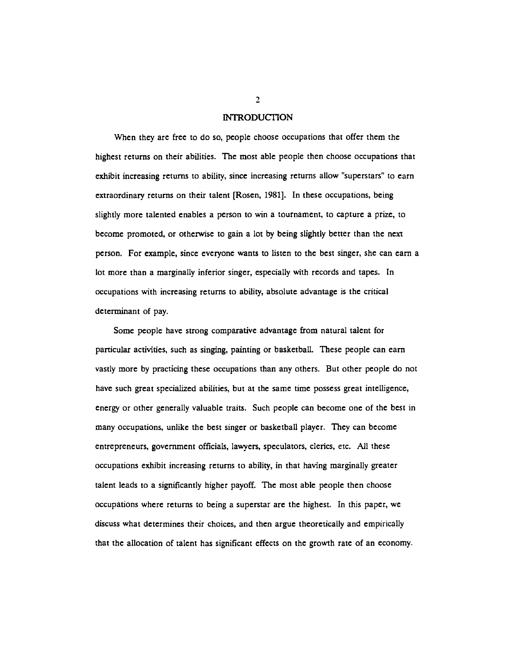#### **INTRODUCTION**

When they are free to do so, people choose occupations that offer them the highest returns on their abilities. The most able people then choose occupations that exhibit increasing returns to ability, since increasing returns allow "superstars" to earn extraordinary returns on their talent [Rosen, 1981]. In these occupations, being slightly more talented enables a person to win a tournament, to capture a prize, to become promoted, or otherwise to gain a lot by being slightly better than the next person. For example, since everyone wants to listen to the best singer, she can earn a lot more than a marginally inferior singer, especially with records and tapes. In occupations with increasing returns to ability, absolute advantage is the critical determinant of pay.

Some people have strong comparative advantage from natural talent for particular activities, such as singing, painting or basketball. These people can earn vastly more by practicing these occupations than any others. But other people do not have such great specialized abilities, but at the same time possess great intelligence, energy or other generally valuable traits. Such people can become one of the best in many occupations, unlike the best singer or basketball player. They can become entrepreneurs, government officials, lawyers, speculators, clerics, etc. All these occupations exhibit increasing returns to ability, in that having marginally greater talent leads to a significantly higher payoff. The most able people then choose occupations where returns to being a superstar are the highest. In this paper, we discuss what determines their choices, and then argue theoretically and empirically that the allocation of talent has significant effects on the growth rate of an economy.

 $\overline{2}$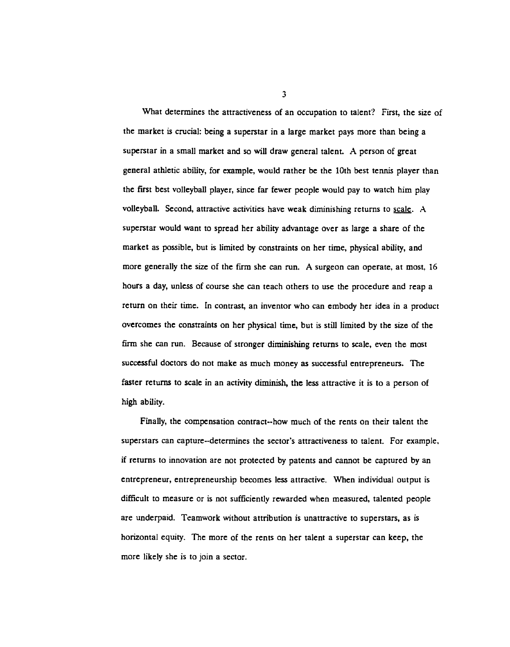What determines the attractiveness of an occupation to talent? First, the size of the market is crucial: being a superstar in a large market pays more than being a superstar in a small market and so will draw general talent. A person of great general athietic ability, for example, would rather be the 10th best tennis player than the first best volleyball player, since far fewer people would pay to watch him play volleyball. Second, attractive activities have weak diminishing returns to scale. A superstar would want to spread her ability advantage over as large a share of the market as possible, but is limited by constraints on her time, physical ability, and more generally the size of the firm she can run. A surgeon can operate, at most, 16 hours a day, unless of course she can teach others to use the procedure and reap a return on their time. In contrast, an inventor who can embody her idea in a product overcomes the constraints on her physical time, but is still limited by the size of the firm she can run. Because of stronger diminishing returns to scale, even the most successful doctors do not make as much money as successful entrepreneurs. The faster returns to scale in an activity diminish, the less attractive it is to a person of high ability.

Finally, the compensation contract--how much of the rents on their talent the superstars can capture--determines the sector's attractiveness to talent. For example. if returns to innovation are not protected by patents and cannot be captured by an entrepreneur, entrepreneurship becomes less attractive. When individual output is difficult to measure or is not sufficiently rewarded when measured, talented people are underpaid. Teamwork without attribution is unattractive to superstars, as is horizontal equity. The more of the rents on her talent a superstar can keep, the more likely she is to join a sector.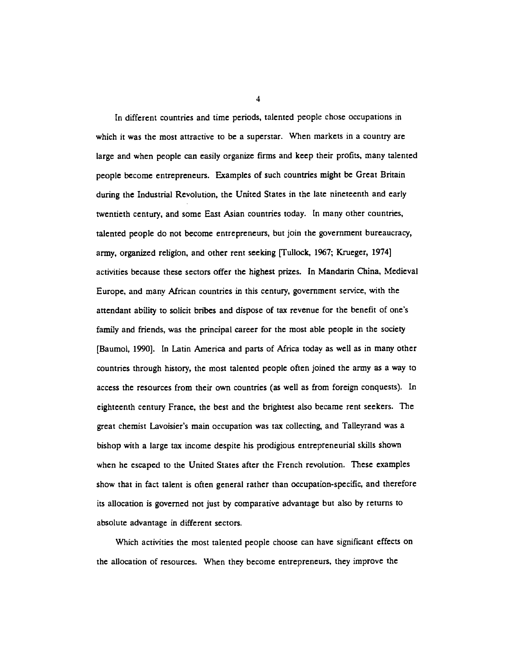In different countries and time periods, talented people chose occupations in which it was the most attractive to be a superstar. When markets in a country are large and when people can easily organize firms and keep their profits, many talented people become entrepreneurs. Examples of such countries might be Great Britain during the Industrial Revolution, the United States in the late nineteenth and early twentieth century, and some East Asian countries today. In many other countries, talented people do not become entrepreneurs, but join the government bureaucracy, army, organized religion, and other rent seeking [Tullock, 1967; Krueger, 1974] activities because these sectors offer the highest prizes. In Mandarin China, Medieval Europe, and many African countries in this century, government service, with the attendant ability to solicit bribes and dispose of tax revenue for the benefit of one's family and friends, was the principal career for the most able people in the society [Baumol, 1990]. In Latin America and parts of Africa today as well as in many other countries through history, the most talented people often joined the army as a way to access the resources from their own countries (as well as from foreign conquests). In eighteenth century France, the best and the brightest also became rent seekers. The great chemist Lavoisier's main occupation was tax collecting, and Tallevrand was a bishop with a large tax income despite his prodigious entrepreneurial skills shown when he escaped to the United States after the French revolution. These examples show that in fact talent is often general rather than occupation-specific, and therefore its allocation is governed not just by comparative advantage but also by returns to absolute advantage in different sectors.

Which activities the most talented people choose can have significant effects on the allocation of resources. When they become entrepreneurs, they improve the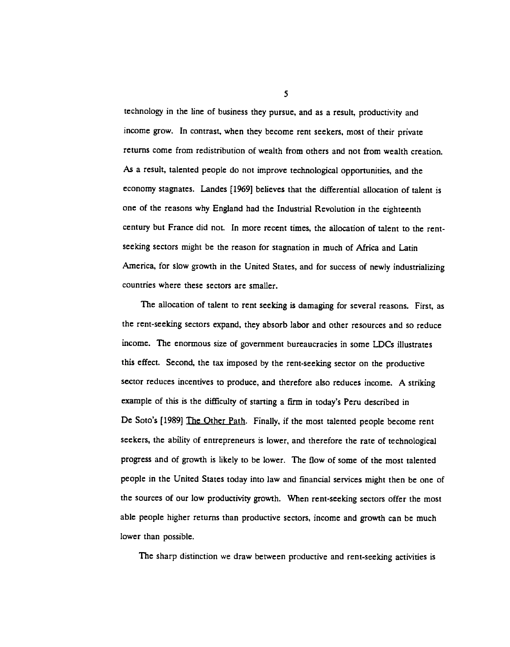technology in the line of business they pursue, and as a result, productivity and income grow. In contrast, when they become rent seekers, most of their private returns come from redistribution of wealth from others and not from wealth creation. As a result, talented people do not improve technological opportunities, and the economy stagnates. Landes [1969] believes that the differential allocation of talent is one of the reasons why England had the Industrial Revolution in the eighteenth century but France did not. In more recent times, the allocation of talent to the rentseeking sectors might be the reason for stagnation in much of Africa and Latin America, for slow growth in the United States, and for success of newly industrializing countries where these sectors are smaller.

The allocation of talent to rent seeking is damaging for several reasons. First, as the rent-seeking sectors expand, they absorb labor and other resources and so reduce income. The enormous size of government bureaucracies in some LDCs illustrates this effect. Second, the tax imposed by the rent-seeking sector on the productive sector reduces incentives to produce, and therefore also reduces income. A striking example of this is the difficulty of starting a firm in today's Peru described in De Soto's [1989] The Other Path. Finally, if the most talented people become rent seekers, the ability of entrepreneurs is lower, and therefore the rate of technological progress and of growth is likely to be lower. The flow of some of the most talented people in the United States today into law and financial services might then be one of the sources of our low productivity growth. When rent-seeking sectors offer the most able people higher returns than productive sectors, income and growth can be much lower than possible.

The sharp distinction we draw between productive and rent-seeking activities is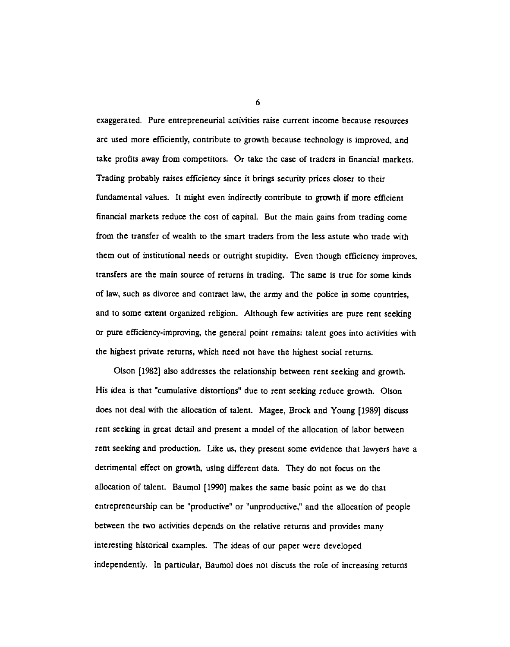exaggerated. Pure entrepreneurial activities raise current income because resources are used more efficiently, contribute to growth because technology is improved, and take profits away from competitors. Or take the case of traders in financial markets. Trading probably raises efficiency since it brings security prices closer to their fundamental values. It might even indirectly contribute to growth if more efficient financial markets reduce the cost of capital. But the main gains from trading come from the transfer of wealth to the smart traders from the less astute who trade with them out of institutional needs or outright stupidity. Even though efficiency improves, transfers are the main source of returns in trading. The same is true for some kinds of law, such as divorce and contract law, the army and the police in some countries, and to some extent organized religion. Although few activities are pure rent seeking or pure efficiency-improving, the general point remains: talent goes into activities with the highest private returns, which need not have the highest social returns.

Olson [1982] also addresses the relationship between rent seeking and growth. His idea is that "cumulative distortions" due to rent seeking reduce growth. Olson does not deal with the allocation of talent. Magee, Brock and Young [1989] discuss rent seeking in great detail and present a model of the allocation of labor between rent seeking and production. Like us, they present some evidence that lawyers have a detrimental effect on growth, using different data. They do not focus on the allocation of talent. Baumol [1990] makes the same basic point as we do that entrepreneurship can be "productive" or "unproductive," and the allocation of people between the two activities depends on the relative returns and provides many interesting historical examples. The ideas of our paper were developed independently. In particular, Baumol does not discuss the role of increasing returns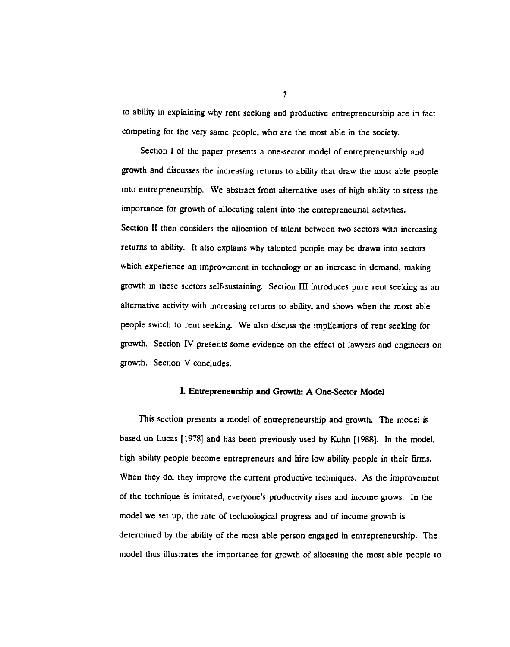to ability in explaining why rent seeking and productive entrepreneurship are in fact competing for the very same people, who are the most able in the society.

Section I of the paper presents a one-sector model of entrepreneurship and growth and discusses the increasing returns to ability that draw the most able people into entrepreneurship. We abstract from alternative uses of high ability to stress the importance for growth of allocating talent into the entrepreneurial activities. Section II then considers the allocation of talent between two sectors with increasing returns to ability. It also explains why talented people may be drawn into sectors which experience an improvement in technology or an increase in demand, making growth in these sectors self-sustaining. Section III introduces pure rent seeking as an alternative activity with increasing returns to ability, and shows when the most able people switch to rent seeking. We also discuss the implications of rent seeking for growth. Section IV presents some evidence on the effect of lawyers and engineers on growth. Section V concludes.

### L Entrepreneurship and Growth: A One-Sector Model

This section presents a model of entrepreneurship and growth. The model is based on Lucas [1978] and has been previously used by Kuhn [1988]. In the model, high ability people become entrepreneurs and hire low ability people in their firms. When they do, they improve the current productive techniques. As the improvement of the technique is imitated, everyone's productivity rises and income grows. In the model we set up, the rate of technological progress and of income growth is determined by the ability of the most able person engaged in entrepreneurship. The model thus illustrates the importance for growth of allocating the most able people to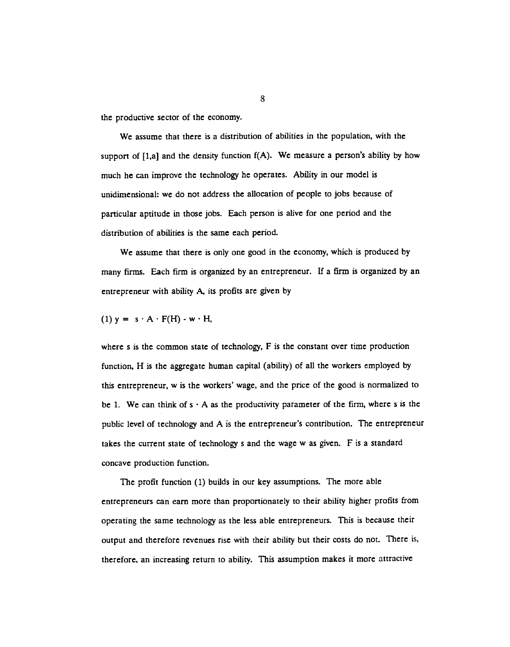the productive sector of the economy.

We assume that there is a distribution of abilities in the population, with the support of  $[1,a]$  and the density function  $f(A)$ . We measure a person's ability by how much he can improve the technology he operates. Ability in our model is unidimensional: we do not address the allocation of people to jobs because of particular aptitude in those jobs. Each person is alive for one period and the distribution of abilities is the same each period.

We assume that there is only one good in the economy, which is produced by many finns. Each firm is organized by an entrepreneur. If a firm is organized by an entrepreneur with ability A, its profits are given by

(1)  $y = s \cdot A \cdot F(H) - w \cdot H$ ,

where s is the common state of technology, F is the constant over time production function, H is the aggregate human capital (ability) of all the workers employed by this entrepreneur, w is the workers' wage, and the price of the good is normalized to be 1. We can think of  $s \cdot A$  as the productivity parameter of the firm, where s is the public level of technology and A is the entrepreneur's contribution. The entrepreneur takes the current state of technology s and the wage w as given. F is a standard concave production function.

The profit function (1) builds in our key assumptions. The more able entrepreneurs can earn more than proportionately to their ability higher profits from operating the same technology as the less able entrepreneurs. This is because their output and therefore revenues rise with their ability but their costs do not. There is, therefore, an increasing return to ability. This assumption makes it more attractive

S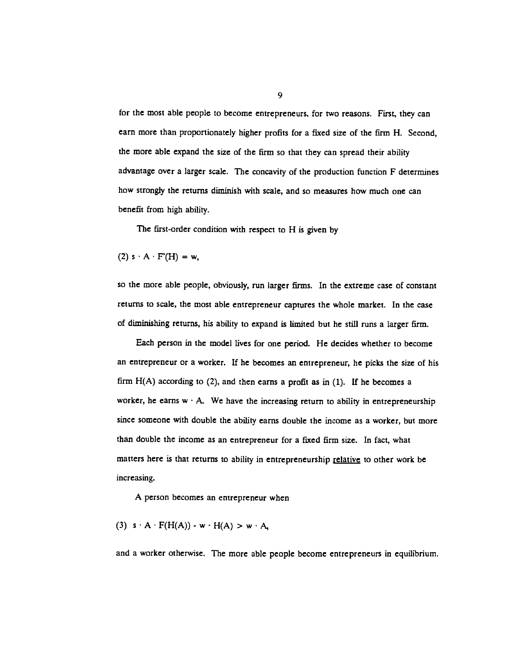for the most able people to become entrepreneurs, for two reasons. First, they can earn more than proportionately higher profits for a fixed size of the firm H. Second, the more able expand the size of the firm so that they can spread their ability advantage over a larger scale. The concavity of the production function F determines how strongly the returns diminish with scale, and so measures how much one can benefit from high ability.

The first-order condition with respect to H is given by

$$
(2) s \cdot A \cdot F'(H) = w,
$$

so the more able people, obviously, run larger firms. In the extreme case of constant returns to scale, the most able entrepreneur captures the whole market. In the case of diminishing returns, his ability to expand is limited but he still runs a larger firm.

Each person in the model lives for one period. He decides whether to become an entrepreneur or a worker, If he becomes an entrepreneur, he picks the size of his firm  $H(A)$  according to (2), and then earns a profit as in (1). If he becomes a worker, he earns  $w \cdot A$ . We have the increasing return to ability in entrepreneurship since someone with double the ability earns double the income as a worker, but more than double the income as an entrepreneur for a fixed firm size. In fact, what matters here is that returns to ability in entrepreneurship relative to other work be increasing.

A person becomes an entrepreneur when

$$
(3) s \cdot A \cdot F(H(A)) \cdot w \cdot H(A) > w \cdot A,
$$

and a worker otherwise. The more able people become entrepreneurs in equilibrium.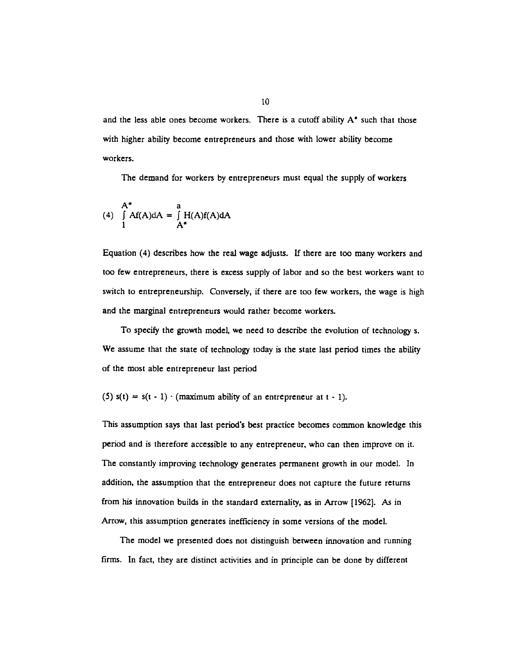and the less able ones become workers. There is a cutoff ability  $A^*$  such that those with higher ability become entrepreneurs and those with lower ability become workers.

The demand for workers by entrepreneurs must equal the supply of workers

$$
\begin{array}{c}\nA^* \\
\text{(4)} \quad \int_A Af(A)dA = \int_A H(A)f(A)dA \\
1 \qquad \qquad A^* \\
\end{array}
$$

Equation (4) describes how the real wage adjusts. If there are too many workers and too few entrepreneurs, there is excess supply of labor and so the best workers want to switch to entrepreneurship. Conversely, if there are too few workers, the wage is high and the marginal entrepreneurs would rather become workers.

To specify the growth model, we need to describe the evolution of technology s. We assume that the state of technology today is the state last period times the ability of the most able entrepreneur last period

(5)  $s(t) = s(t - 1) \cdot (maximum ability of an entire preneur at t - 1).$ 

This assumption says that last period's best practice becomes common knowledge this period and is therefore accessible to any entrepreneur, who can then improve on it. The constantly improving technology generates permanent growth in our model. In addition, the assumption that the entrepreneur does not capture the future returns from his innovation builds in the standard externality, as in Arrow [1962]. As in Arrow, this assumption generates inefficiency in some versions of the model.

The model we presented does not distinguish between innovation and running firms. In fact, they are distinct activities and in principle can be done by different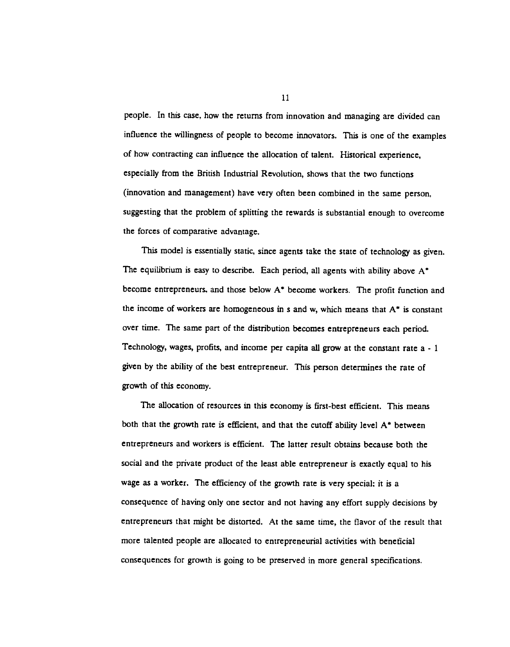people. In this case, how the returns from innovation and managing are divided can influence the willingness of people to become innovators. This is one of the examples of how contracting can influence the allocation of talent. Historical experience, especially from the British Industrial Revolution, shows that the two functions (innovation and management) have vety often been combined in the same person, suggesting that the problem of splitting the rewards is substantial enough to overcome the forces of comparative advantage.

This model is essentially static, since agents take the state of technology as given. The equilibrium is easy to describe. Each period, all agents with ability above  $A^*$ become entrepreneurs. and those below A\* become workers. The profit function and the income of workers are homogeneous in s and w, which means that  $A^*$  is constant over time. The same part of the distribution becomes entrepreneurs each period. Technology, wages, profits, and income per capita all grow at the constant rate a - <sup>1</sup> given by the ability of the best entrepreneur. This person determines the rate of growth of this economy.

The allocation of resources in this economy is first-best efficient. This means both that the growth rate is efficient, and that the cutoff ability level  $A^*$  between entrepreneurs and workers is efficient. The latter result obtains because both the social and the private product of the least able entrepreneur is exactly equal to his wage as a worker. The efficiency of the growth rate is very special: it is a consequence of having only one sector and not having any effort supply decisions by entrepreneurs that might be distorted. At the same time, the flavor of the result that more talented people are allocated to entrepreneurial activities with beneficial consequences for growth is going to be preserved in more general specifications.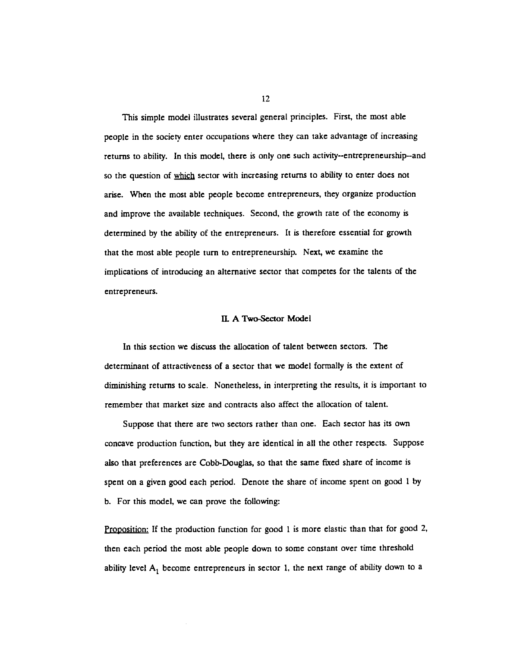This simple model illustrates several general principles. First, the most able people in the society enter occupations where they can take advantage of increasing returns to ability. In this model, there is only one such activity—entrepreneurship—and so the question of which sector with increasing returns to ability to enter does not arise. When the most able people become entrepreneurs, they organize production and improve the available techniques. Second, the growth rate of the economy is determined by the ability of the entrepreneurs. It is therefore essential for growth that the most able people turn to entrepreneurship. Next, we examine the implications of introducing an alternative sector that competes for the talents of the entrepreneurs.

#### IL A Two-Sector Model

In this section we discuss the allocation of talent between sectors. The determinant of attractiveness of a sector that we model formally is the extent of diminishing returns to scale. Nonetheless, in interpreting the results, it is important to remember that market size and contracts also affect the allocation of talent.

Suppose that there are two sectors rather than one. Each sector has its own concave production function, but they are identical in all the other respects. Suppose also that preferences are Cobb-Douglas, so that the same fixed share of income is spent on a given good each period. Denote the share of income spent on good 1 by b. For this model, we can prove the following:

Proposition: If the production function for good 1 is more elastic than that for good 2, then each period the most able people down to some constant over time threshold ability level  $A_1$  become entrepreneurs in sector 1, the next range of ability down to a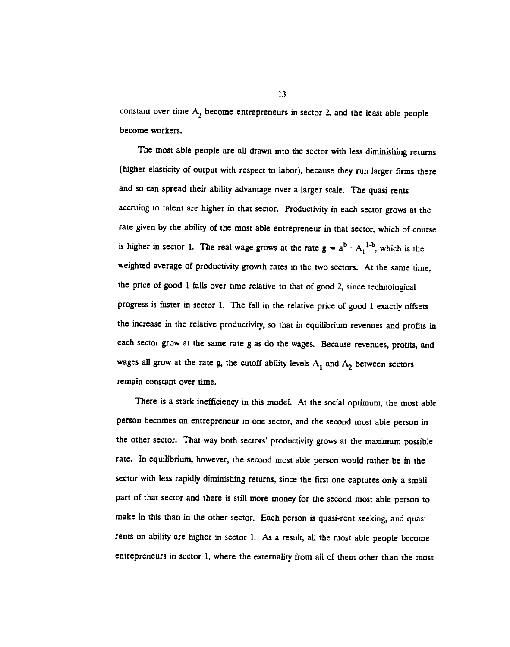constant over time  $A_2$  become entrepreneurs in sector 2, and the least able people become workers.

The most able people are all drawn into the sector with less diminishing returns (higher elasticity of output with respect to labor), because they run larger firms there and so can spread their ability advantage over a larger scale. The quasi rents accruing to talent are higher in that sector. Productivity in each sector grows at the rate given by the ability of the most able entrepreneur in that sector, which of course is higher in sector 1. The real wage grows at the rate  $g = a^{b} \cdot A_1^{1-b}$ , which is the weighted average of productivity growth rates in the two sectors. At the same time, the price of good 1 fails over time relative to that of good 2, since technological progress is faster in sector 1. The fall in the relative price of good 1 exactly offsets the increase in the relative productivity, so that in equilibrium revenues and profits in each sector grow at the same rate g as do the wages. Because revenues, profits, and wages all grow at the rate g, the cutoff ability levels  $A_1$  and  $A_2$  between sectors remain constant over time.

There is a stark inefficiency in this model. At the social optimum, the most able person becomes an entrepreneur in one sector, and the second most able person in the other sector. That way both sectors' productivity grows at the maximum possible rate. In equilibrium, however, the second most able person would rather be in the sector with less rapidly diminishing returns, since the first one captures only a small part of that sector and there is still more money for the second most able person to make in this than in the other sector. Each person is quasi-rent seeking, and quasi rents on ability are higher in sector 1. As a result, all the most able people become entrepreneurs in sector 1, where the externality from all of them other than the most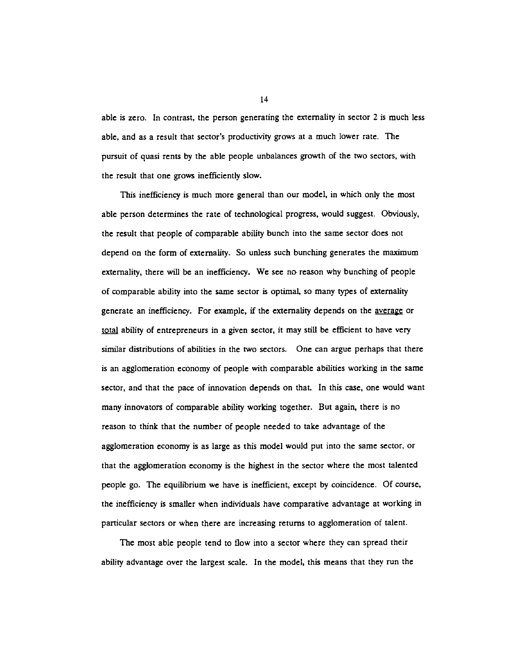able is zero. In contrast, the person generating the externality in sector 2 is much less able, and as a result that sector's productivity grows at a much lower rate. The pursuit of quasi rents by the able people unbalances growth of the two sectors, with the result that one grows inefficiently slow.

This inefficiency is much more general than our model, in which only the most able person determines the rate of technological progress, would suggest. Obviously, the result that people of comparable ability bunch into the same sector does not depend on the form of externality. So unless such bunching generates the maximum externality, there will be an inefficiency. We see no reason why bunching of people of comparable ability into the same sector is optimal, so many types of externality generate an inefficiency. For example, if the externality depends on the average or total ability of entrepreneurs in a given sector, it may still be efficient to have very similar distributions of abilities in the two sectors. One can argue perhaps that there is an agglomeration economy of people with comparable abilities working in the same sector, and that the pace of innovation depends on that. In this case, one would want many innovators of comparable ability working together. But again, there is no reason to think that the number of people needed to take advantage of the agglomeration economy is as large as this model would put into the same sector, or that the agglomeration economy is the highest in the sector where the most talented people go. The equilibrium we have is inefficient, except by coincidence. Of course, the inefficiency is smaller when individuals have comparative advantage at working in particular sectors or when there are increasing returns to agglomeration of talent.

The most able people tend to flow into a sector where they can spread their ability advantage over the largest scale. In the model, this means that they run the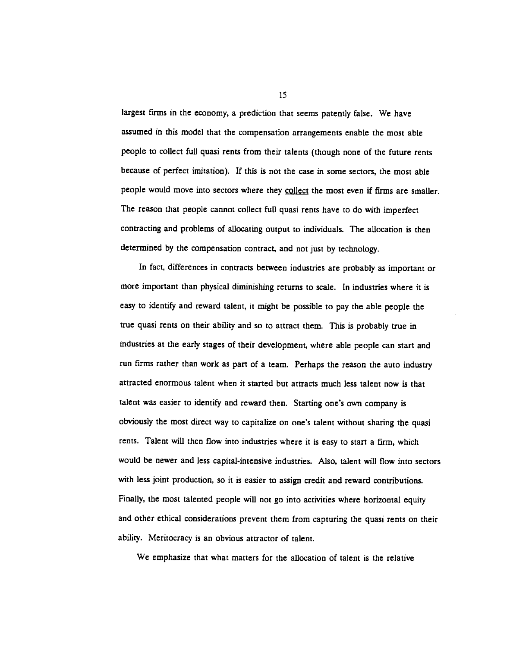largest firms in the economy, a prediction that seems patently false. We have assumed in this model that the compensation arrangements enable the most able people to collect full quasi rents from their talents (though none of the future rents because of perfect imitation). If this is not the case in some sectors, the most able people would move into sectors where they collect the most even if firms are smaller. The reason that people cannot collect full quasi rents have to do with imperfect contracting and problems of allocating output to individuals. The allocation is then determined by the compensation contract, and not just by technology.

In fact, differences in contracts between industries are probably as important or more important than physical diminishing returns to scale. In industries where it is easy to identify and reward talent, it might be possible to pay the able people the true quasi rents on their ability and so to attract them. This is probably true in industries at the early stages of their development, where able people can start and run firms rather than work as part of a team. Perhaps the reason the auto industry attracted enormous talent when it started but attracts much less talent now is that talent was easier to identify and reward then. Starting one's own company is obviously the most direct way to capitalize on one's talent without sharing the quasi rents. Talent will then flow into industries where it is easy to start a firm, which would be newer and less capital-intensive industries. Also, talent will flow into sectors with less joint production, so it is easier to assign credit and reward contributions. Finally, the most talented people will not go into activities where horizontal equity and other ethical considerations prevent them from capturing the quasi rents on their ability. Meritocracy is an obvious attractor of talent.

We emphasize that what matters for the allocation of talent is the relative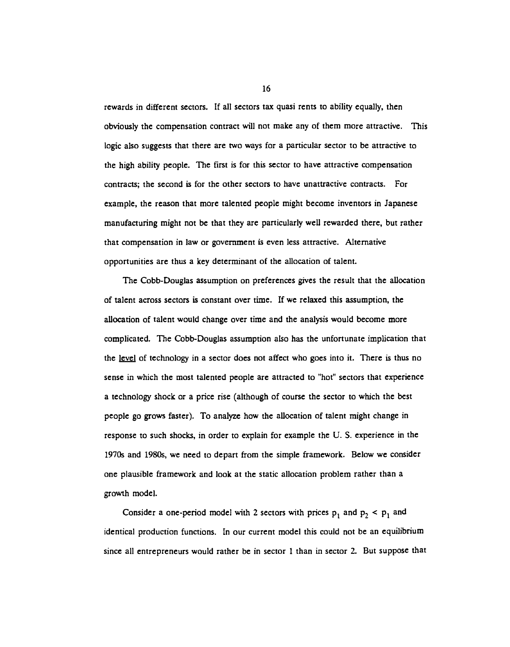rewards in different sectors. If all sectors tax quasi rents to ability equally, then obviously the compensation contract will not make any of them more attractive. This logic also suggests that there are two ways for a particular sector to be attractive to the high ability people. The first is for this sector to have attractive compensation contracts; the second is for the other sectors to have unattractive contracts. For example, the reason that more talented people might become inventors in Japanese manufacturing might not be that they are particularly well rewarded there, but rather that compensation in law or government is even less attractive. Alternative opportunities are thus a key determinant of the allocation of talent.

The Cobb-Douglas assumption on preferences gives the result that the allocation of talent across sectors is constant over time. If we relaxed this assumption, the allocation of talent would change over time and the analysis would become more complicated. The Cobb-Douglas assumption also has the unfortunate implication that the <u>level</u> of technology in a sector does not affect who goes into it. There is thus no sense in which the most talented people are attracted to "hot" sectors that experience a technology shock or a price rise (although of course the sector to which the best people go grows faster). To analyze how the allocation of talent might change in response to such shocks, in order to explain for example the U. S. experience in the 1970s and 1980s, we need to depart from the simple framework. Below we consider one plausible framework and look at the static allocation problem rather than a growth model.

Consider a one-period model with 2 sectors with prices  $p_1$  and  $p_2 < p_1$  and identical production functions. In our current model this could not be an equilibrium since all entrepreneurs would rather be in sector 1 than in sector 2. But suppose that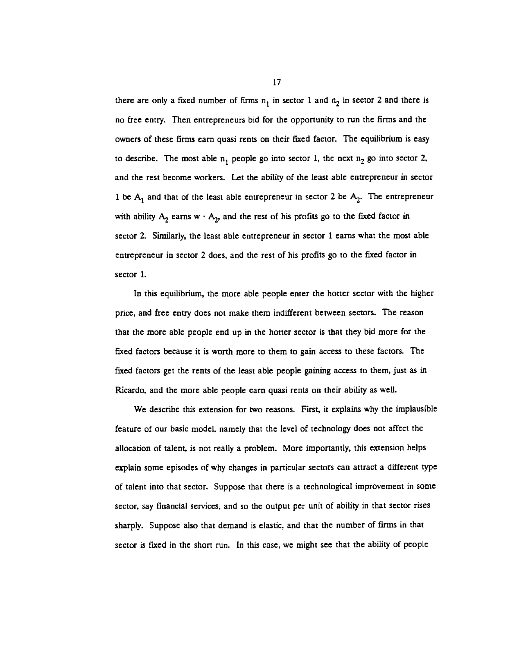there are only a fixed number of firms  $n_1$  in sector 1 and  $n_2$  in sector 2 and there is no free entry. Then entrepreneurs bid for the opportunity to run the firms and the owners of these firms earn quasi rents on their fixed factor. The equilibrium is easy to describe. The most able n<sub>1</sub> people go into sector 1, the next n<sub>2</sub> go into sector 2, and the rest become workers. Let the ability of the least able entrepreneur in sector 1 be  $A_1$  and that of the least able entrepreneur in sector 2 be  $A_2$ . The entrepreneur with ability  $A_2$  earns w  $\cdot A_2$ , and the rest of his profits go to the fixed factor in sector 2. Similarly, the least able entrepreneur in sector  $1$  earns what the most able entrepreneur in sector 2 does, and the rest of his profits go to the fixed factor in sector 1.

In this equilibrium, the more able people enter the hotter sector with the higher price, and free entry does not make them indifferent between sectors. The reason that the more able people end up in the hotter sector is that they bid more for the fixed factors because it is worth more to them to gain access to these factors. The fixed factors get the rents of the least able people gaining access to them, just as in Ricardo, and the more able people earn quasi rents on their ability as well.

We describe this extension for two reasons. First, it explains why the implausible feature of our basic model, namely that the level of technology does not affect the allocation of talent, is not really a problem. More importantly, this extension helps explain some episodes of why changes in particular sectors can attract a different type of talent into that sector. Suppose that there is a technological improvement in some sector, say financial services, and so the output per unit of ability in that sector rises sharply. Suppose also that demand is elastic, and that the number of firms in that sector is fixed in the short run. In this case, we might see that the ability of people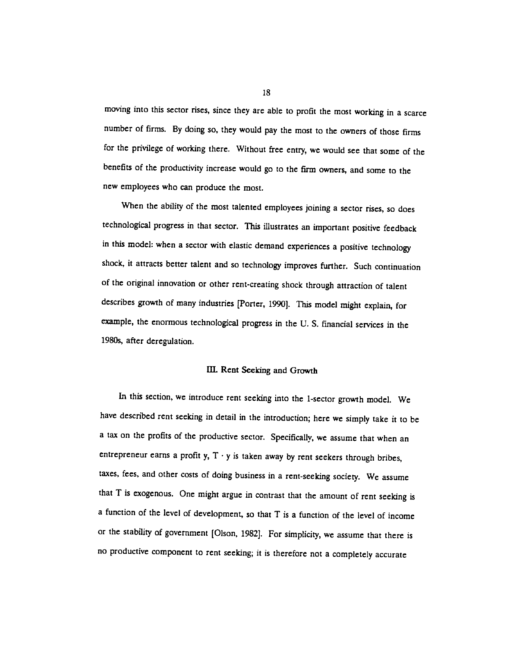moving into this sector rises, since they are able to profit the most working in a scarce number of firms. By doing so, they would pay the most to the owners of those firms for the privilege of working there. Without free entry, we would see that some of the benefits of the productivity increase would go to the firm owners, and some to the new employees who can produce the most.

When the ability of the most talented employees joining a sector rises, so does technological progress in that sector. This illustrates an important positive feedback in this model: when a sector with elastic demand experiences a positive technology shock, it attracts better talent and so technology improves further. Such continuation of the original innovation or other rent-creating shock through attraction of talent describes growth of many industries [Porter, 1990]. This model might explain, for example, the enormous technological progress in the U. S. financial services in the 1980s, after deregulation.

# III. Rent Seeking and Growth

In this section, we introduce rent seeking into the 1-sector growth model. We have described rent seeking in detail in the introduction; here we simply take it to be a tax on the profits of the productive sector. Specifically, we assume that when an entrepreneur earns a profit y,  $T \cdot y$  is taken away by rent seekers through bribes, taxes, fees, and other costs of doing business in a rent-seeking society. We assume that T is exogenous. One might argue in contrast that the amount of rent seeking is a function of the level of development, so that T is a function of the level of income or the stability of government [Olson, 1982]. For simplicity, we assume that there is no productive component to rent seeking; it is therefore not a completely accurate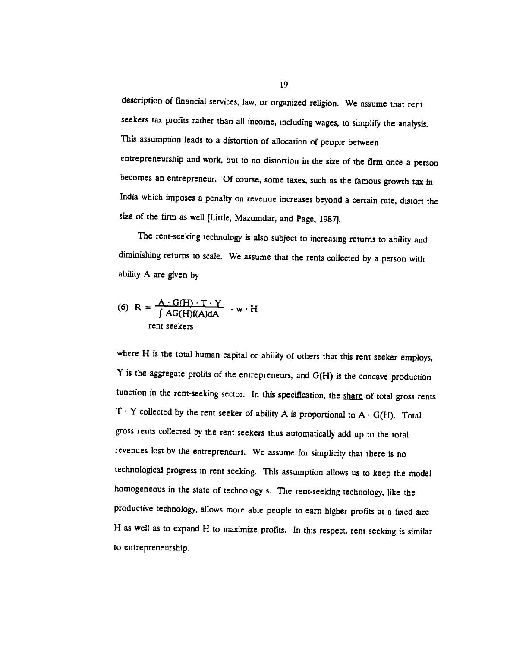description of financial services, law, or organized religion. We assume that rent seekers tax profits rather than all income, including wages, to simplify the analysis. This assumption leads to a distortion of allocation of people between entrepreneurship and work, but to no distortion in the size of the firm once a person becomes an entrepreneur. Of course, some taxes, such as the famous growth tax in India which imposes a penalty on revenue increases beyond a certain rate, distort the size of the firm as well [Little, Mazumdar, and Page, 1987].

The rent-seeking technology is also subject to increasing returns to ability and diminishing returns to scale. We assume that the rents collected by a person with ability A are given by

(6) 
$$
R = \frac{A \cdot G(H) \cdot T \cdot Y}{\int AG(H)f(A)dA} - w \cdot H
$$
  
rent seekers

where H is the total human capital or ability of others that this rent seeker employs,  $Y$  is the aggregate profits of the entrepreneurs, and  $G(H)$  is the concave production function in the rent-seeking sector. In this specification, the share of total gross rents  $T \cdot Y$  collected by the rent seeker of ability A is proportional to  $A \cdot G(H)$ . Total gross rents collected by the rent seekers thus automatically add up to the total revenues lost by the entrepreneurs. We assume for simplicity that there is no technological progress in rent seeking. This assumption allows us to keep the model homogeneous in the state of technology s. The rent-seeking technology, like the productive technology, allows more able people to earn higher profits at a fixed size H as well as to expand H to maximize profits. In thisrespect, rent seeking is similar to entrepreneurship.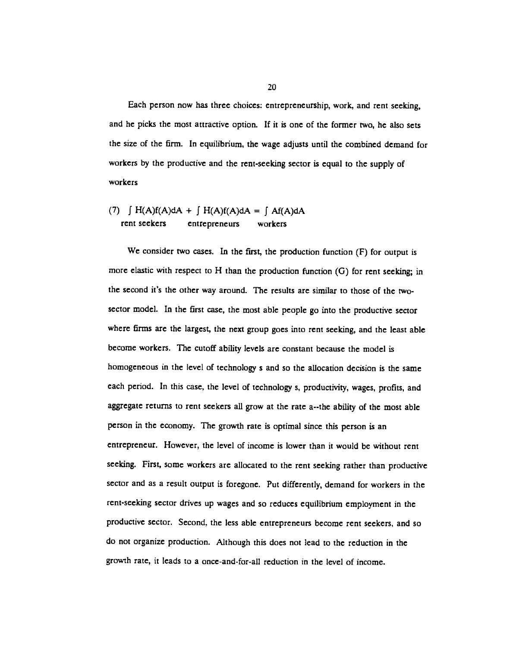Each person now has three choices: entrepreneurship, work, and rent seeking, and he picks the most attractive option. If it is one of the former two, he also sets the size of the firm. In equilibrium, the wage adjusts until the combined demand for workers by the productive and the rent-seeking sector is equal to the supply of workers

# (7)  $\int H(A)f(A)dA + \int H(A)f(A)dA = \int Af(A)dA$ rent seekers entrepreneurs workers

We consider two cases. In the first, the production function (F) for output is more elastic with respect to  $H$  than the production function  $(G)$  for rent seeking; in the second it's the other way around. The results are similar to those of the twosector model. In the first case, the most able people go into the productive sector where firms are the largest, the next group goes into rent seeking, and the least able become workers. The cutoff ability levels are constant because the model is homogeneous in the level of technology s and so the allocation decision is the same each period. In this case, the level of technology s, productivity, wages, profits, and aggregate returns to rent seekers all grow at the rate a--the ability of the most able person in the economy. The growth rate is optimal since this person is an entrepreneur. However, the level of income is lower than it would be without rent seeking. First, some workers are allocated to the rent seeking rather than productive sector and as a result output is foregone. Put differently, demand for workers in the rent-seeking sector drives up wages and so reduces equilibrium employment in the productive sector. Second, the less able entrepreneurs become rent seekers, and so do not organize production. Although this does not lead to the reduction in the growth rate, it leads to a once-and-for-all reduction in the level of income.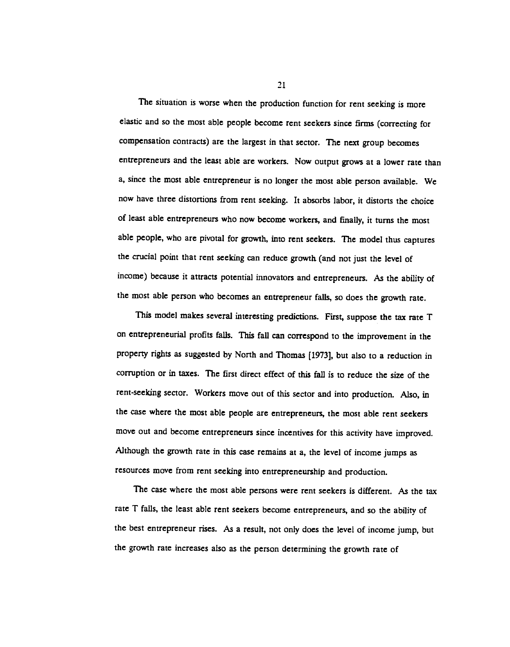The situation is worse when the production function for rent seeking is more elastic and so the most able people become rent seekers since firms (correcting for compensation contracts) are the largest in that sector. The next group becomes entrepreneurs and the least able are workers. Now output grows at a lower rate than a, since the most able entrepreneur is no longer the most able person available. We now have three distortions from rent seeking. It absorbs labor, it distorts the choice of least able entrepreneurs who now become workers, and finally, it turns the most able people, who are pivotal for growth, into rent seekers. The model thus captures the crucial point that rent seeking can reduce growth. (and not just the level of income) because it attracts potential innovators and entrepreneurs. As the ability of the most able person who becomes an entrepreneur falls, so does the growth rate.

This model makes several interesting predictions. First, suppose the tax rate T on entrepreneurial profits falls. This fall can correspond to the improvement in the property rights as suggested by North and Thomas [1973], but also to a reduction in corruption or in taxes. The first direct effect of this fall is to reduce the size of the rent-seeking sector. Workers move out of this sector and into production. Also, in the case where the most able people are entrepreneurs, the most able rent seekers move out and become entrepreneurs since incentives for this activity have improved. Although the growth rate in this case remains at a, the level of income jumps as resources move from rent seeking into entrepreneurship and production.

The case where the most able persons were rent seekers is different. As the tax rate T falls, the least able rent seekers become entrepreneurs, and so the ability of the best entrepreneur rises. As a result, not only does the level of income jump, but the growth rate increases also as the person determining the growth rate of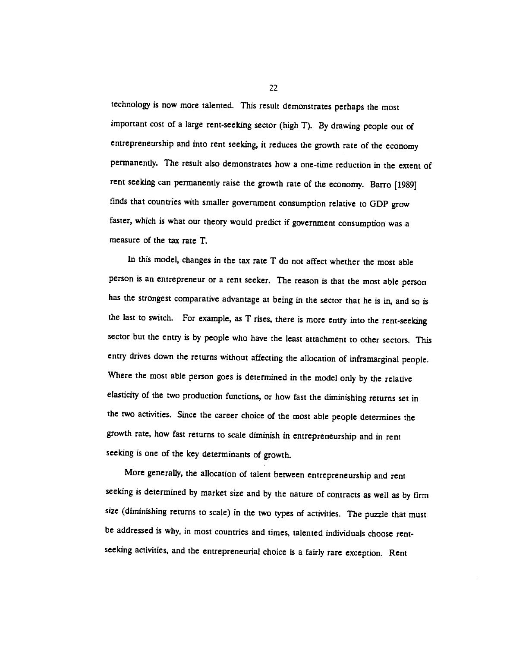technology is now more talented. This result demonstrates perhaps the most important cost of a large rent-seeking sector (high T). By drawing people out of entrepreneurship and into rent seeking, it reduces the growth rate of the economy permanently. The result also demonstrates how a one-time reduction in the extent of rent seeking can permanently raise the growth rate of the economy. Barro [1989] finds that countries with smaller government consumption relative to GDP grow faster, which is what our theory would predict if government consumption was a measure of the tax rate T.

In this model, changes in the tax rate T do not affect whether the most able person is an entrepreneur or a rent seeker. The reason is that the most able person has the strongest comparative advantage at being in the sector that he is in, and so is the last to switch. For example, as T rises, there is more entry into the rent-seeking sector but the entry is by people who have the least attachment to other sectors. This entry drives down the returns without affecting the allocation of inframarginal people. Where the most able person goes is determined in the model only by the relative elasticity of the two production functions, or how fast the diminishing returns set in the two activities. Since the career choice of the most able people determines the growth rate, how fast returns to scale diminish in entrepreneurship and in rent seeking is one of the key determinants of growth.

More generally, the allocation of talent between entrepreneurship and rent seeking is determined by market size and by the nature of contracts as well as by firm size (diminishing returns to scale) in the two types of activities. The puzzle that must be addressed is why, in most countries and times, talented individuals choose rentseeking activities, and the entrepreneurial choice is a fairly rare exception. Rent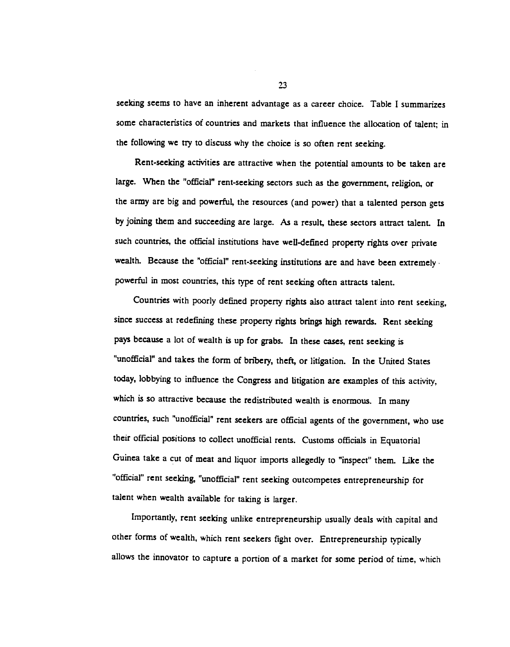seeking seems to have an inherent advantage as a career choice. Table I summarizes some characteristics of countries and markets that influence the allocation of talent; in the following we try to discuss why the choice is so often rent seeking.

Rent-seeking activities are attractive when the potential amounts to be taken are large. When the "official" rent-seeking sectors such as the government, religion, or the army are big and powerful, the resources (and power) that a talented person gets by joining them and succeeding are large. As a result, these sectors attract talent. In such countries, the official institutions have well-defined property rights over private wealth. Because the "official" rent-seeking institutions are and have been extremely. powerful in most countries, this type of rent seeking often attracts talent.

Countries with poorly defined property rights also attract talent into rent seeking, since success at redefining these property rights brings high rewards. Rent seeking pays because a lot of wealth is up for grabs. In these cases, rent seeking is "unofficial" and takes the form of bribery, theft, or litigation. In the United States today, lobbying to influence the Congress and litigation are examples of this activity, which is so attractive because the redistributed wealth is enormous. In many countries, such "unofficial" rent seekers are official agents of the government, who use their official positions to collect unofficial rents. Customs officials in Equatorial Guinea take a cut of meat and liquor imports allegedly to "inspect" them. Like the "official" rent seeking, "unofficial" rent seeking outcompetes entrepreneurship for talent when wealth available for taking is larger.

Importantly, rent seeking unlike entrepreneurship usually deals with capital and other forms of wealth, which rent seekers fight over. Entrepreneurship typically allows the innovator to capture a portion of a market for some period of time, which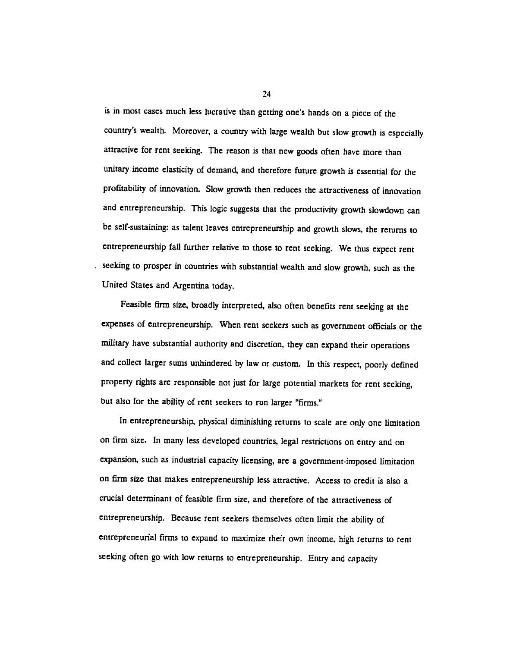is in most cases much less lucrative than getting one's hands on a piece of the country's wealth. Moreover, a country with large wealth but slow growth is especially attractive for rent seeking. The reason is that new goods often have more than unitary income elasticity of demand, and therefore future growth is essential for the profitability of innovation. Slow growth then reduces the attractiveness of innovation and entrepreneurship. This logic suggests that the productivity growth slowdown can be self-sustaining: as talent leaves entrepreneurship and growth slows, the returns to entrepreneurship fall further relative to those to rent seeking. We thus expect rent seeking to prosper in countries with substantial wealth and slow growth, such as the United States and Argentina today.

Feasible firm size, broadly interpreted, also often benefits rent seeking at the expenses of entrepreneurship. When rent seekers such as government officials or the military have substantial authority and discretion, they can expand their operations and collect larger sums unhindered by law or custom. In this respect, poorly defined property rights are responsible not just for large potential markets for rent seeking, but also for the ability of rent seekers to run larger "firms."

In entrepreneurship, physical diminishing returns to scale are only one limitation on firm size. In many less developed countries, legal restrictions on entry and on expansion, such as industrial capacity licensing, are a government-imposed limitation on firm size that makes entrepreneurship less attractive. Access to credit is also a crucial determinant of feasible firm size, and therefore of the attractiveness of entrepreneurship. Because rent seekers themselves often limit the ability of entrepreneurial firms to expand to maximize their own income, high returns to rent seeking often go with low returns to entrepreneurship. Entry and capacity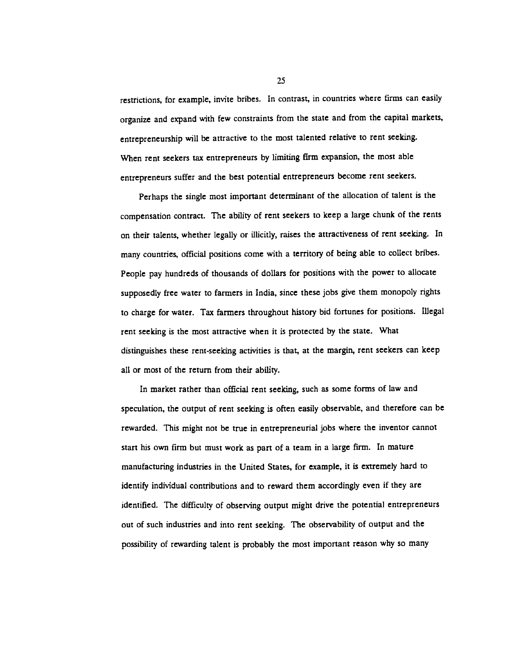restrictions, for example, invite bribes. In contrast, in countries where firms can easily organize and expand with few constraints from the state and from the capital markets, entrepreneurship will be attractive to the most talented relative to rent seeking. When rent seekers tax entrepreneurs by limiting firm expansion, the most able entrepreneurs suffer and the best potential entrepreneurs become rent seekers.

Perhaps the single most important determinant of the allocation of talent is the compensation contract. The ability of rent seekers to keep a large chunk of the rents on their talents, whether legally or illicitly, raises the attractiveness of rent seeking. In many countries, official positions come with a territory of being able to collect bribes. People pay hundreds of thousands of dollars for positions with the power to allocate supposedly free water to farmers in India, since these jobs give them monopoly rights to charge for water. Tax farmers throughout history bid fortunes for positions. Illegal rent seeking is the most attractive when it is protected by the state. What distinguishes these rent-seeking activities is that, at the margin, rent seekers can keep all or most of the return from their ability.

In market rather than official rent seeking, such as some forms of law and speculation, the output of rent seeking is often easily observable, and therefore can be rewarded. This might not be true in entrepreneurial jobs where the inventor cannot start his own firm but must work as part of a team in a large firm. In mature manufacturing industries in the United States, for example, it is extremely hard to identify individual contributions and to reward them accordingly even if they are identified. The difficulty of observing output might drive the potential entrepreneurs out of such industries and into rent seeking. The observability of output and the possibility of rewarding talent is probably the most important reason why so many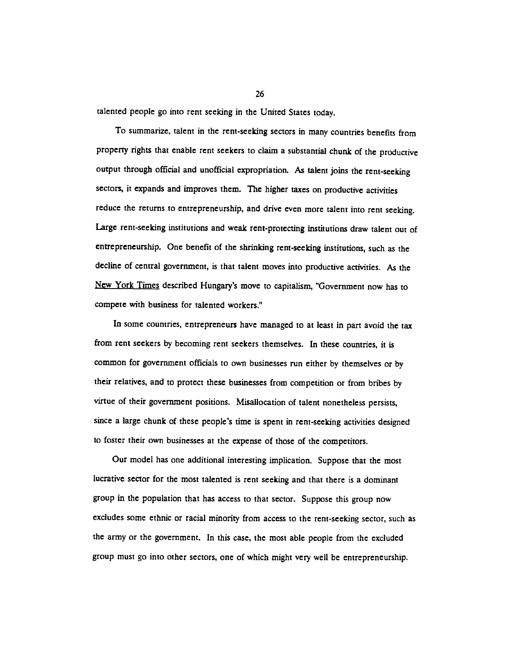talented people go into rent seeking in the United States today.

To summarize, talent in the rent-seeking sectors in many countries benefits from property rights that enable rent seekers to claim a substantial chunk of the productive output through official and unofficial expropriation. As talent joins the rent-seeking sectors, it expands and improves them. The higher taxes on productive activities reduce the returns to entrepreneurship, and drive even more talent into rent seeking. Large rent-seeking institutions and weak rent-protecting institutions draw talent out of entrepreneurship. One benefit of the shrinking rent-seeking institutions, such as the decline of central government, is that talent moves into productive activities. As the New York Times described Hungary's move to capitalism, "Government now has to compete with business for talented workers."

In some countries, entrepreneurs have managed to at least in part avoid the tax from rent seekers by becoming rent seekers themselves. In these countries, it is common for government officials to own businesses run either by themselves or by their relatives, and to protect these businesses from competition or from bribes by virtue of their government positions. Misallocation of talent nonetheless persists, since a large chunk of these people's time is spent in rent-seeking activities designed to foster their own businesses at the expense of those of the competitors.

Our model has one additional interesting implication. Suppose that the most lucrative sector for the most talented is rent seeking and that there is a dominant group in the population that has access to that sector. Suppose this group now excludes some ethnic or racial minority from access to the rent-seeking sector, such as the army or the government. In this case, the most able people from the excluded group must go into other sectors, one of which might very well be entrepreneurship.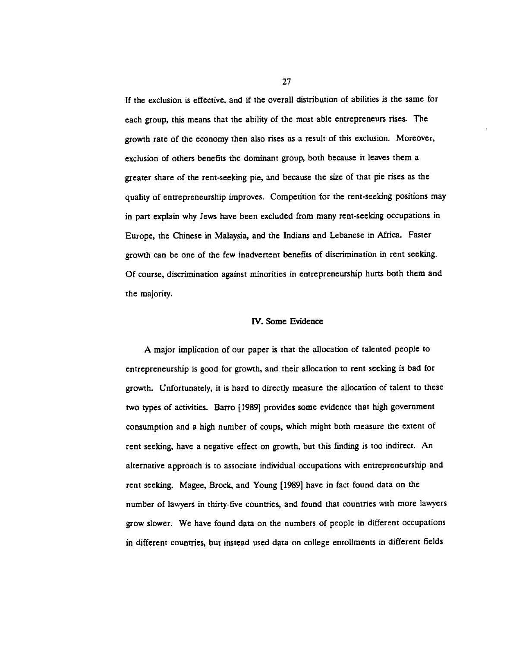If the exclusion is effective, and if the overall distribution of abilities is the same for each group, this means that the ability of the most able entrepreneurs rises. The growth rate of the economy then also rises as a result of this exclusion. Moreover, exclusion of others benefits the dominant group, both because it leaves them a greater share of the rent-seeking pie, and because the size of that pie rises as the quality of entrepreneurship improves. Competition for the rent-seeking positions may in part explain why Jews have been excluded from many rent-seeking occupations in Europe, the Chinese in Malaysia, and the Indians and Lebanese in Africa. Faster growth can be one of the few inadvertent benefits of discrimination in rent seeking. Of course, discrimination against minorities in entrepreneurship hurts both them and the majority.

#### N. Some Evidence

A major implication of our paper is that the allocation of talented people to entrepreneurship is good for growth, and their allocation to rent seeking is bad for growth. Unfortunately, it is hard to directly measure the allocation of talent to these two types of activities. Barro [1989] provides some evidence that high government consumption and a high number of coups, which might both measure the extent of rent seeking, have a negative effect on growth, but this finding is too indirect. An alternative approach is to associate individual occupations with entrepreneurship and rent seeking. Magee, Brock, and Young [1989] have in fact found data on the number of lawyers in thirty-five countries, and found that countries with more lawyers grow slower. We have found data on the numbers of people in different occupations in different countries, but instead used data on college enrollments in different fields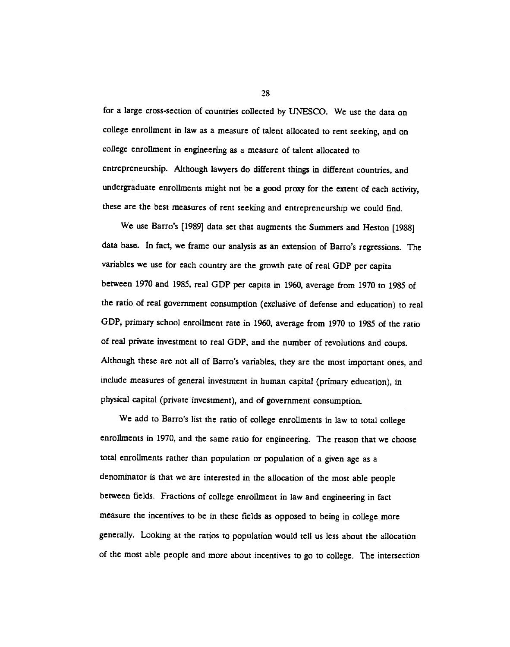for a large cross-section of countries collected by UNESCO. We use the data on college enrollment in law as a measure of talent allocated to rent seeking, and on college enrollment in engineering as a measure of talent allocated to entrepreneurship. Although lawyers do different things in different countries, and undergraduate enrollments might not be a good proxy for the extent of each activity, these are the best measures of rent seeking and entrepreneurship we could find.

We use Barro's [1989] data set that augments the Summers and Heston [1988] data base. In fact, we frame our analysis as an extension of Barro's regressions. The variables we use for each country are the growth rate of real GDP per capita between 1970 and 1985, real GD? per capita in 1960, average from 1970 to 1985 of the ratio of real government consumption (exclusive of defense and education) to real GD?, primary school enrollment rate in 1960, average from 1970 to 1985 of the ratio of real private investment to real GDP, and the number of revolutions and coups. Although these are not all of Barro's variables, they are the most important ones, and include measures of general investment in human capital (primary education), in physical capital (private investment), and of government consumption.

We add to Barro's list the ratio of college enrollments in law to total college enrollments in 1970, and the same ratio for engineering. The reason that we choose total enrollments rather than population or population of a given age as a denominator is that we are interested in the allocation of the most able people between fields. Fractions of college enrollment in law and engineering in fact measure the incentives to be in these fields as opposed to being in college more generally. Looking at the ratios to population would tell us less about the allocation of the most able people and more about incentives to go to college. The intersection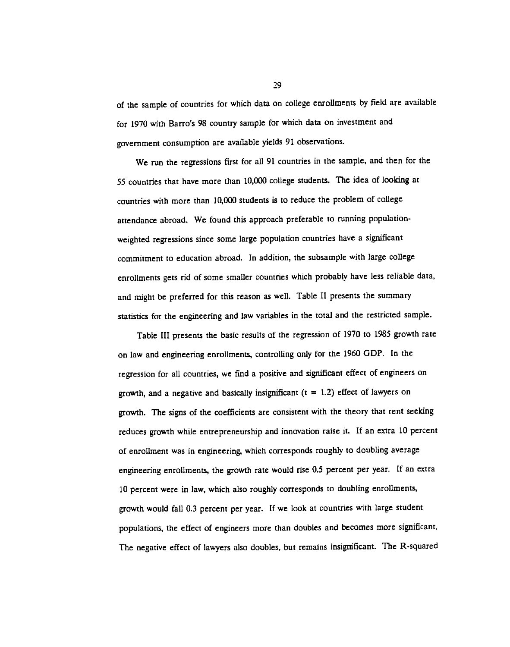of the sample of countries for which data on college enrollments by field are available for 1970 with Barro's 98 country sample for which data on investment and government consumption are available yields 91 observations.

We run the regressions first for all 91 countries in the sample, and then for the 55 countries that have more than 10,000 college students. The idea of looking at countries with more than 10,000 students is to reduce the problem of college attendance abroad. We found this approach preferable to running populationweighted regressions since some large population countries have a significant commitment to education abroad. In addition, the subsample with large college enrollments gets rid of some smaller countries which probably have less reliable data, and might be preferred for this reason as well. Table II presents the summary statistics for the engineering and law variables in the total and the restricted sample.

Table III presents the basic results of the regression of 1970 to 1985 growth rate on law and engineering enrollments, controlling only for the 1960 GDP. In the regression for all countries, we find a positive and significant effect of engineers on growth, and a negative and basically insignificant  $(t = 1.2)$  effect of lawyers on growth. The signs of the coefficients are consistent with the theory that rent seeking reduces growth while entrepreneurship and innovation raise it. If an extra 10 percent of enrollment was in engineering, which corresponds roughly to doubling average engineering enrollments, the growth rate would rise 0.5 percent per year. If an extra 10 percent were in law, which also roughly corresponds to doubling enrollments, growth would fall 0.3 percent per year. If we look at countries with large student populations, the effect of engineers more than doubles and becomes more significant. The negative effect of lawyers also doubles, but remains insignificant. The R-squared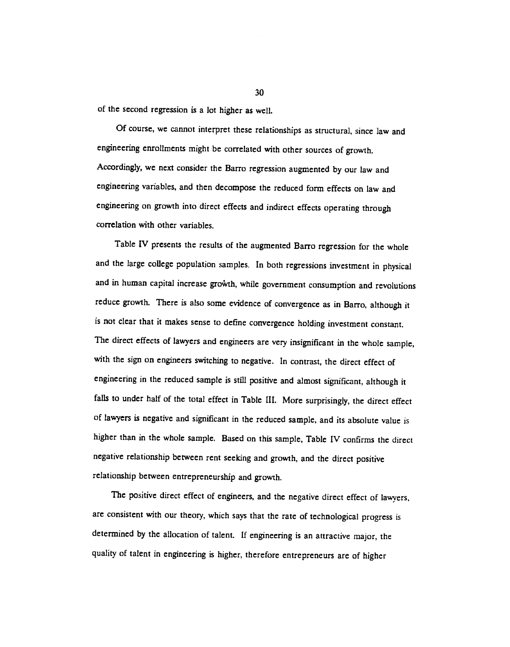of the second regression is a lot higher as well.

Of course, we cannot interpret these relationships as structural, since law and engineering enrollments might be correlated with other sources of growth. Accordingly, we next consider the Barro regression augmented by our law and engineering variables, and then decompose the reduced form effects on law and engineering on growth into direct effects and indirect effects operating through correlation with other variables.

Table IV presents the results of the augmented Barro regression for the whole and the large college population samples. In both regressions investment in physical and in human capital increase growth, while government consumption and revolutions reduce growth. There is also some evidence of convergence as in Barro, although it is not clear that it makes sense to define convergence holding investment constant. The direct effects of lawyers and engineers are very insignificant in the whole sample, with the sign on engineers switching to negative. In contrast, the direct effect of engineering in the reduced sample is still positive and almost significant, although it falls to under half of the total effect in Table III. More surprisingly, the direct effect of lawyers is negative and significant in the reduced sample, and its absolute value is higher than in the whole sample. Based on this sample, Table IV confirms the direct negative relationship between rent seeking and growth, and the direct positive relationship between entrepreneurship and growth.

The positive direct effect of engineers, and the negative direct effect of lawyers, are consistent with our theory, which says that the rate of technological progress is determined by the allocation of talent. If engineering is an attractive major, the quality of talent in engineering is higher, therefore entrepreneurs are of higher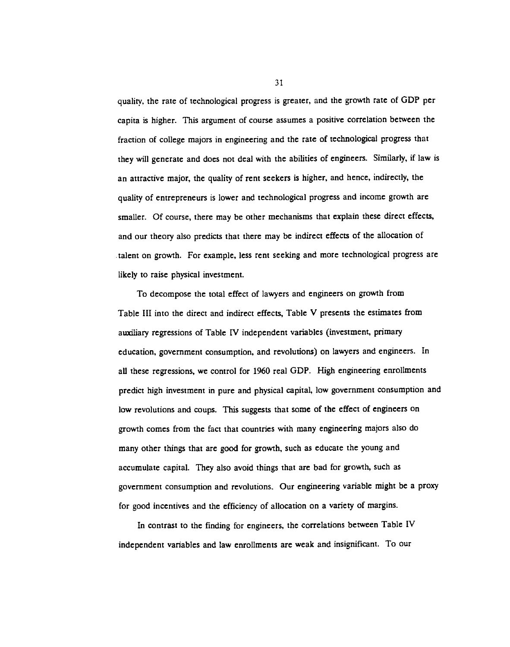quality, the rate of technological progress is greater, and the growth rate of GDP per capita is higher. This argument of course assumes a positive correlation between the fraction of college majors in engineering and the rate of technological progress that they will generate and does not deal with the abilities of engineers. Similarly, if law is an attractive major, the quality of rent seekers is higher, and hence, indirectly, the quality of entrepreneurs is lower and technological progress and income growth are smaller. Of course, there may be other mechanisms that explain these direct effects, and our theory also predicts that there may be indirect effects of the allocation of talent on growth. For example, less rent seeking and more technological progress are likely to raise physical investment.

To decompose the total effect of lawyers and engineers on growth from Table III into the direct and indirect effects, Table V presents the estimates from auxiliary regressions of Table IV independent variables (investment, primary education, government consumption, and revolutions) on lawyers and engineers. In all these regressions, we control for 1960 real GD?. High engineering enrollments predict high investment in pure and physical capital, low government consumption and low revolutions and coups. This suggests that some of the effect of engineers on growth comes from the fact that countries with many engineering majors also do many other things that are good for growth, such as educate the young and accumulate capital. They also avoid things that are bad for growth, such as government consumption and revolutions. Our engineering variable might be a proxy for good incentives and the efficiency of allocation on a variety of margins.

In contrast to the finding for engineers, the correlations between Table IV independent variables and law enrollments are weak and insignificant. To our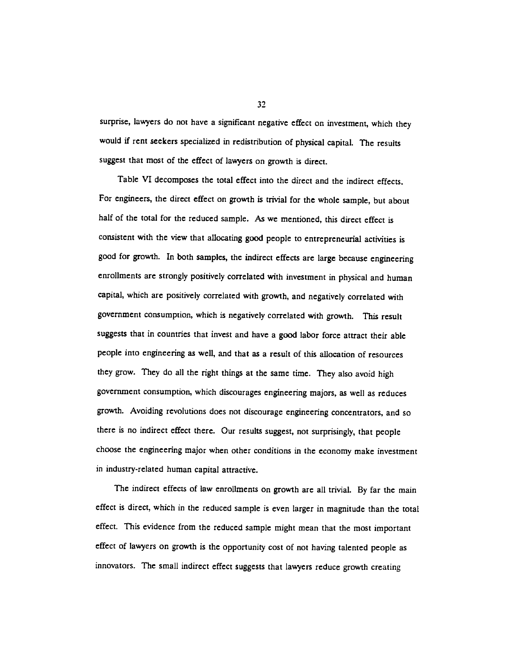surprise, lawyers do not have a significant negative effect on investment, which they would if rem seekers specialized in redistribution of physical capital. The results suggest that most of the effect of lawyers on growth is direct.

Table VI decomposes the total effect into the direct and the indirect effects. For engineers, the direct effect on growth is trivial for the whole sample, but about half of the total for the reduced sample. As we mentioned, this direct effect is consistent with the view that allocating good people to entrepreneurial activities is good for growth. In both samples, the indirect effects are large because engineering enrollments are strongly positively correlated with investment in physical and human capital, which are positively correlated with growth, and negatively correlated with government consumption, which is negatively correlated with growth. This result suggests that in countries that invest and have a good labor force attract their able people into engineering as well, and that as a result of this allocation of resources they grow. They do all the right things at the same time. They also avoid high government consumption, which discourages engineering majors, as well as reduces growth. Avoiding revolutions does not discourage engineering concentrators, and so there is no indirect effect there. Our results suggest, not surprisingly, that people choose the engineering major when other conditions in the economy make investment in industry-related human capital attractive.

The indirect effects of law enrollments on growth are all trivial. By far the main effect is direct, which in the reduced sample is even larger in magnitude than the total effect. This evidence from the reduced sample might mean that the most important effect of lawyers on growth is the opportunity cost of not having talented people as innovators. The small indirect effect suggests that lawyers reduce growth creating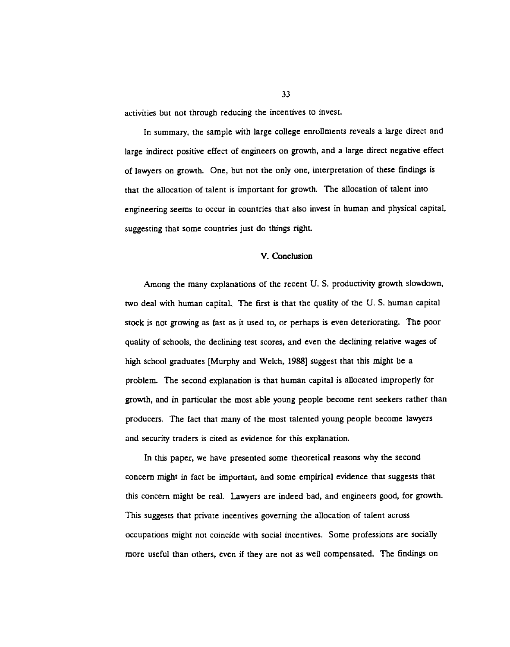activities but not through reducing the incentives to invest.

In summary, the sample with large college enrollments reveals a large direct and large indirect positive effect of engineers on growth, and a large direct negative effect of 1ayers on growth. One, but not the only one, interpretation of these findings is that the allocation of talent is important for growth. The allocation of talent into engineering seems to occur in countries that also invest in human and physical capital, suggesting that some countries just do things right.

### V. Conclusion

Among the many explanations of the recent U. S. productivity growth slowdown, two deal with human capital. The first is that the quality of the U. S. human capital stock is not growing as fast as it used to, or perhaps is even deteriorating. The poor quality of schools, the declining test scores, and even the declining relative wages of high school graduates [Murphy and Welch, 1988] suggest that this might be a problem. The second explanation is that human capital is allocated improperly for growth, and in particular the most able young people become rent seekers rather than producers. The fact that many of the most talented young people become lawyers and security traders is cited as evidence for this explanation.

In this paper, we have presented some theoretical reasons why the second concern might in fact be important, and some empirical evidence that suggests that this concern might be real. Lawyers are indeed bad, and engineers good, for growth. This suggests that private incentives governing the allocation of talent across occupations might not coincide with social incentives. Some professions are socially more useful than others, even if they are not as well compensated. The findings on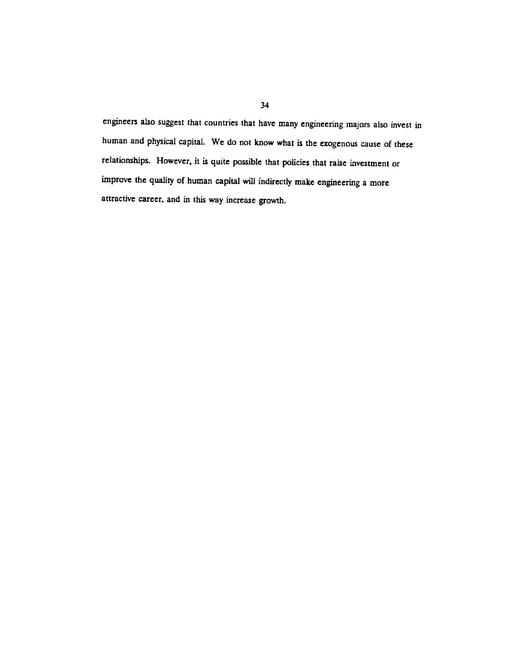engineers also suggest that countries that have many engineering majors also invest in human and physical capital. We do not know what is the exogenous cause of these relationships. However, it is quite possible that policies that raise investment or improve the quality of human capital will indirectly make engineering a more attractive career, and in this way increase growth.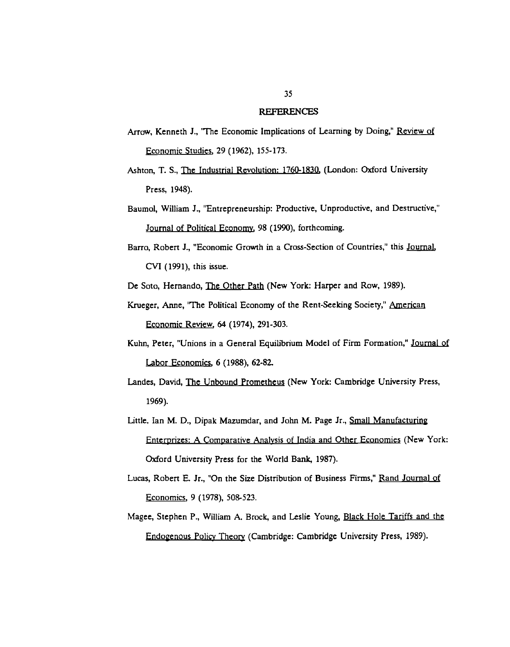#### REFERENCES

- Arrow, Kenneth J., "The Economic Implications of Learning by Doing," Review of Economic Studies. 29 (1962), 155-173.
- Ashton, T. S., The Industrial Revolution: 1760-1830. (London: Oxford University Press, 1948).
- Baumol, William J., "Entrepreneurship: Productive, Unproductive, and Destructive," Journal of Political Economy. 98 (1990), forthcoming.
- Barro, Robert J., "Economic Growth in a Cross-Section of Countries," this Journal. CVI (1991), this issue.

De Soto, Hernando, The Other Path (New York: Harper and Row, 1989).

- Krueger, Anne, 'The Political Economy of the Rent-Seeking Society," American Economic Review. 64 (1974), 291-303.
- Kuhn, Peter, "Unions in a General Equilibrium Model of Firm Formation," Journal of Labor Economics. 6 (1988), 62-82.
- Landes, David, The Unbound Prometheus (New York: Cambridge University Press, 1969).
- Little. Ian M. D., Dipak Mazumdar, and John M. Page Jr., Small Manufacturing Enterprizes: A Comparative Analysis of India and Other Economies (New York: Oxford University Press for the World Bank, 1987).
- Lucas, Robert E. Jr., "On the Size Distribution of Business Firms," Rand Journal of Economics, 9 (1978), 508-523.
- Magee, Stephen P., William A. Brock, and Leslie Young, Black Hole Tariffs and the Endogenous Policy Theory (Cambridge: Cambridge University Press, 1989).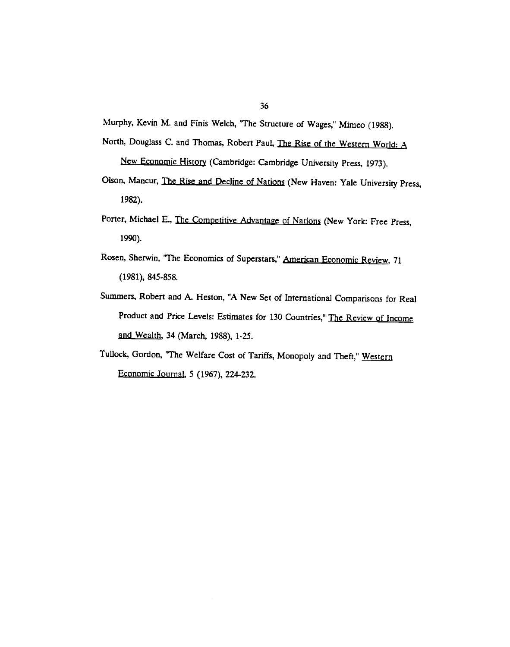Murphy, Kevin M. and Finis Welch, The Structure of Wages,' Mimeo (1988).

- North, Douglass C. and Thomas, Robert Paul, The Rise of the Western World: A New Economic History (Cambridge: Cambridge University Press, 1973).
- Olson, Mancur, The Rise and Decline of Nations (New Haven: Yale University Press, 1982).
- Porter, Michael E., The Competitive Advantage of Nations (New York: Free Press, 1990).
- Rosen, Sherwin, "The Economics of Superstars," American Economic Review. 71 (1981), 845-858.
- Summers, Robert and A. Heston, "A New Set of International Comparisons for Real Product and Price Levels: Estimates for 130 Countries," The Review of Income and Wealth. 34 (March, 1988), 1-25.
- Tullock, Gordon, "The Welfare Cost of Tariffs, Monopoly and Theft," Western Economic Journal. 5 (1967), 224-232.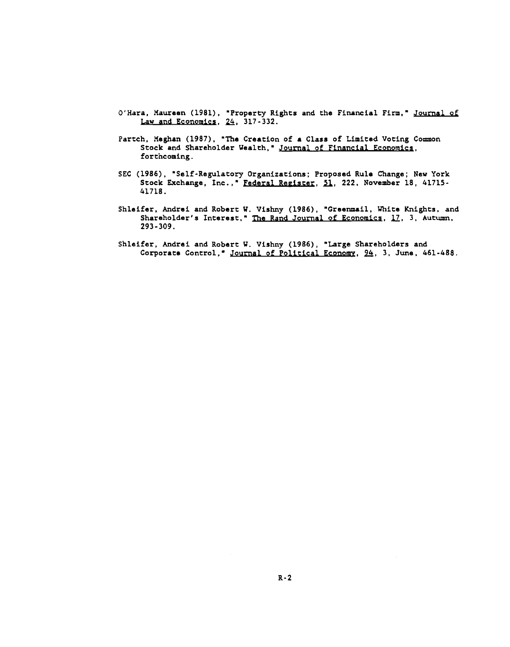- O'Hara, Maureen (1981), "Property Rights and the Financial Firm," Journal of Law and Economics,  $24$ ,  $317-332$ .
- Partch, Meghan (1987), "The Creation of a Class of Limited Voting Common Stock and Shareholder Wealth," Journal of Financial Economics, forthcoming.
- SEC (1986), "Self-Regulatory Organizations; Proposed Rule Change; New York Stock Exchange, Inc.," Federal Register, 51, 222, November 18, 41715-41718.
- Shleifer, Andrei and Robert V. Vishny (1986), "Greenmail, White Knights, and Shareholder's Interest," The Rand Journal of Economics, 17, 3, Autumn, 293-309.
- Shleifer, Andrei and Robert V. Vishny (1986), "Large Shareholders and Corporate Control," Journal of Political Economy, 24, 3, June, 461-488.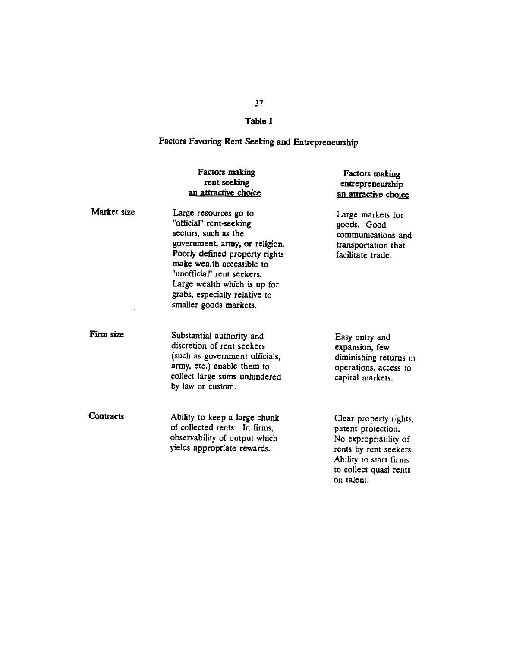# Table I

# Factors Favoring Rent Seeking and Entrepreneurship

|             | <b>Factors making</b><br>rent seeking<br>an attractive choice                                                                                                                                                                                                                                      | Factors making<br>entrepreneurship<br>an attractive choice                                                                                                        |
|-------------|----------------------------------------------------------------------------------------------------------------------------------------------------------------------------------------------------------------------------------------------------------------------------------------------------|-------------------------------------------------------------------------------------------------------------------------------------------------------------------|
| Market size | Large resources go to<br>"official" rent-seeking<br>sectors, such as the<br>government, army, or religion.<br>Poorly defined property rights<br>make wealth accessible to<br>"unofficial" rent seekers.<br>Large wealth which is up for<br>grabs, especially relative to<br>smaller goods markets. | Large markets for<br>goods. Good<br>communications and<br>transportation that<br>facilitate trade.                                                                |
| Firm size   | Substantial authority and<br>discretion of rent seekers<br>(such as government officials,<br>army, etc.) enable them to<br>collect large sums unhindered<br>by law or custom.                                                                                                                      | Easy entry and<br>expansion, few<br>diminishing returns in<br>operations, access to<br>capital markets.                                                           |
| Contracts   | Ability to keep a large chunk<br>of collected rents. In firms,<br>observability of output which<br>yields appropriate rewards.                                                                                                                                                                     | Clear property rights,<br>patent protection.<br>No expropriatility of<br>rents by rent seekers.<br>Ability to start firms<br>to collect quasi rents<br>on talent. |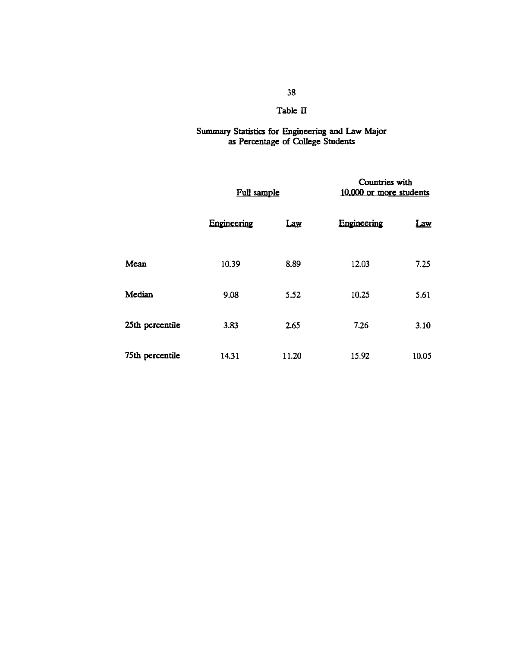# 38

# Table II

#### Summary Statistics for Engineering and Law Major as Percentage of College Students

|                 | Full sample |       | Countries with<br>10,000 or more students |            |  |
|-----------------|-------------|-------|-------------------------------------------|------------|--|
|                 | Engineering | Law   | Engineering                               | <u>Law</u> |  |
| Mean            | 10.39       | 8.89  | 12.03                                     | 7.25       |  |
| Median          | 9.08        | 5.52  | 10.25                                     | 5.61       |  |
| 25th percentile | 3.83        | 2.65  | 7.26                                      | 3.10       |  |
| 75th percentile | 14.31       | 11.20 | 15.92                                     | 10.05      |  |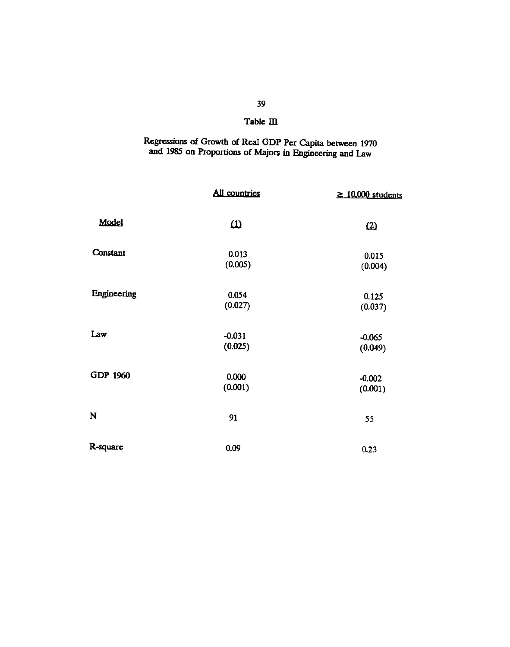# Table  $\scriptstyle\rm I\!I\!I$

### Regressions of Growth of Real GDP Per Capita between 1970 and 1985 on Proportions of Majors in Engineering and Law

|                 | All countries       | $\geq$ 10.000 students |
|-----------------|---------------------|------------------------|
| Model           | $\omega$            | (2)                    |
| Constant        | 0.013<br>(0.005)    | 0.015<br>(0.004)       |
| Engineering     | 0.054<br>(0.027)    | 0.125<br>(0.037)       |
| Law             | $-0.031$<br>(0.025) | $-0.065$<br>(0.049)    |
| <b>GDP 1960</b> | 0.000<br>(0.001)    | $-0.002$<br>(0.001)    |
| N               | 91                  | 55                     |
| R-square        | 0.09                | 0.23                   |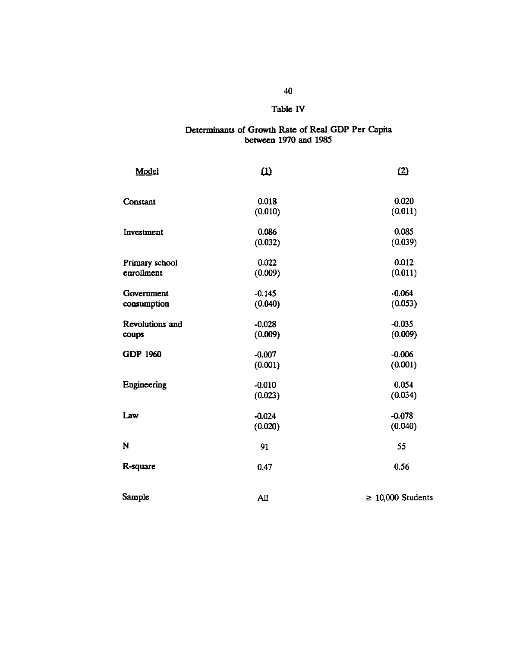# 40

# Table IV

### Determinants of Growth Rate of Real GDP Per Capita between 1970 and 1985

| Model           | $\omega$   | $\bf{2}$               |
|-----------------|------------|------------------------|
| Constant        | 0.018      | 0.020                  |
|                 | (0.010)    | (0.011)                |
| Investment      | 0.086      | 0.085                  |
|                 | (0.032)    | (0.039)                |
| Primary school  | 0.022      | 0.012                  |
| enrollment      | (0.009)    | (0.011)                |
| Government      | $-0.145$   | $-0.064$               |
| consumption     | (0.040)    | (0.053)                |
| Revolutions and | $-0.028$   | $-0.035$               |
| coups           | (0.009)    | (0.009)                |
| <b>GDP 1960</b> | $-0.007$   | $-0.006$               |
|                 | (0.001)    | (0.001)                |
| Engineering     | $-0.010$   | 0.054                  |
|                 | (0.023)    | (0.034)                |
| Law             | $-0.024$   | $-0.078$               |
|                 | (0.020)    | (0.040)                |
| N               | 91         | 55                     |
| R-square        | 0.47       | 0.56                   |
| Sample          | <b>All</b> | $\geq 10,000$ Students |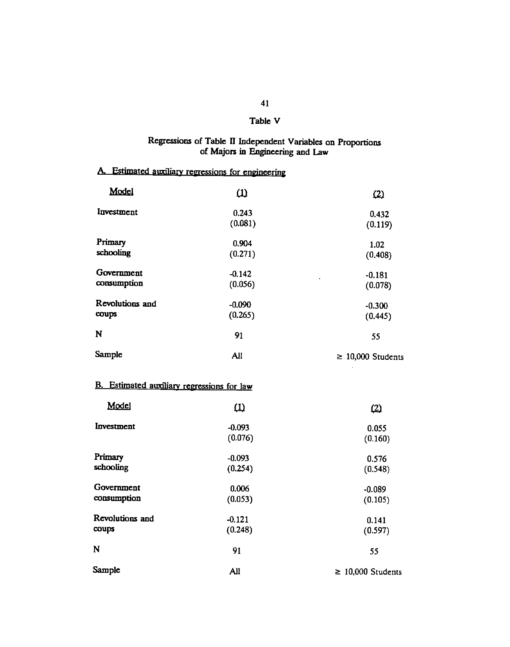# Table V

#### Regressions of Table II Independent Variables on Proportions of Majors in Engineering and Law

# A. Estimated auxiliary regressions for engineering

| Model                                      | $\omega$           | (2)                    |
|--------------------------------------------|--------------------|------------------------|
| Investment                                 | 0.243<br>(0.081)   | 0.432<br>(0.119)       |
|                                            |                    |                        |
| Primary                                    | 0.904              | 1.02                   |
| schooling                                  | (0.271)            | (0.408)                |
| Government                                 | $-0.142$           | $-0.181$               |
| consumption                                | (0.056)            | (0.078)                |
| Revolutions and                            | $-0.090$           | $-0.300$               |
| coups                                      | (0.265)            | (0.445)                |
| N                                          | 91                 | 55                     |
| Sample                                     | <b>All</b>         | $\geq$ 10,000 Students |
| B. Estimated auxiliary regressions for law |                    |                        |
| Model                                      | $\boldsymbol{\mu}$ | (2)                    |
| Investment                                 | $-0.093$           | 0.055                  |
|                                            | (0.076)            | (0.160)                |
| Primary                                    | $-0.093$           | 0.576                  |
| schooling                                  | (0.254)            | (0.548)                |
| Government                                 | 0.006              | $-0.089$               |
| consumption                                | (0.053)            | (0.105)                |
| Revolutions and                            | $-0.121$           | 0.141                  |
| coups                                      | (0.248)            | (0.597)                |
| N                                          | 91                 | 55                     |
| Sample                                     | <b>All</b>         | $\geq 10,000$ Students |